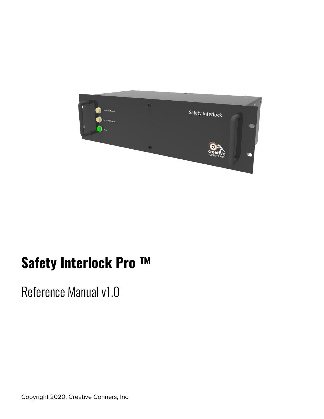

# **Safety Interlock Pro ™**

Reference Manual v1.0

Copyright 2020, Creative Conners, Inc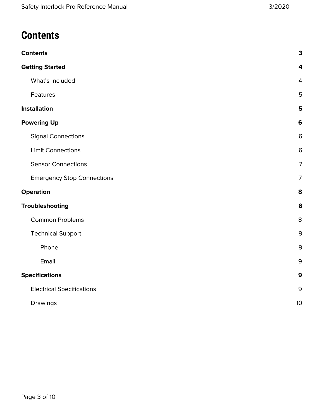# <span id="page-2-0"></span>**Contents**

| <b>Contents</b>                   | $\mathbf 3$    |
|-----------------------------------|----------------|
| <b>Getting Started</b>            | 4              |
| What's Included                   | 4              |
| Features                          | 5              |
| <b>Installation</b>               | 5              |
| <b>Powering Up</b>                | 6              |
| <b>Signal Connections</b>         | 6              |
| <b>Limit Connections</b>          | 6              |
| <b>Sensor Connections</b>         | $\overline{7}$ |
| <b>Emergency Stop Connections</b> | $\overline{7}$ |
| <b>Operation</b>                  | 8              |
| Troubleshooting                   | 8              |
| <b>Common Problems</b>            | 8              |
| <b>Technical Support</b>          | $9\,$          |
| Phone                             | $\mathsf 9$    |
| Email                             | $\mathsf 9$    |
| <b>Specifications</b>             | $\mathbf{9}$   |
| <b>Electrical Specifications</b>  | $\mathsf 9$    |
| Drawings                          | 10             |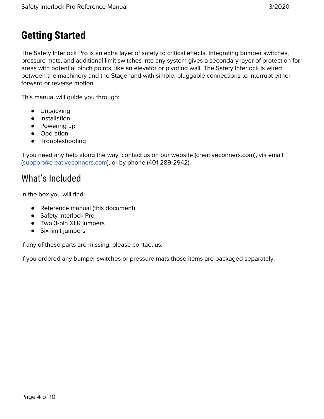# <span id="page-3-0"></span>**Getting Started**

The Safety Interlock Pro is an extra layer of safety to critical effects. Integrating bumper switches, pressure mats, and additional limit switches into any system gives a secondary layer of protection for areas with potential pinch points, like an elevator or pivoting wall. The Safety Interlock is wired between the machinery and the Stagehand with simple, pluggable connections to interrupt either forward or reverse motion.

This manual will guide you through:

- Unpacking
- Installation
- Powering up
- Operation
- Troubleshooting

If you need any help along the way, contact us on our website (creativeconners.com), via email ([support@creativeconners.com](mailto:support@creativeconners.com)), or by phone (401-289-2942).

#### <span id="page-3-1"></span>What's Included

In the box you will find:

- Reference manual (this document)
- Safety Interlock Pro
- Two 3-pin XLR jumpers
- Six limit jumpers

If any of these parts are missing, please contact us.

If you ordered any bumper switches or pressure mats those items are packaged separately.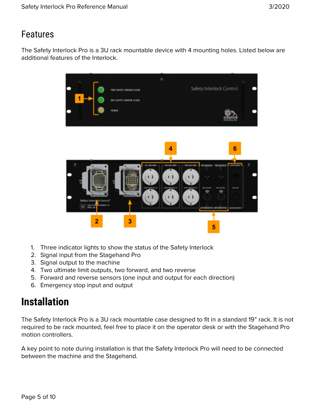## <span id="page-4-0"></span>Features

The Safety Interlock Pro is a 3U rack mountable device with 4 mounting holes. Listed below are additional features of the Interlock.



- 1. Three indicator lights to show the status of the Safety Interlock
- 2. Signal input from the Stagehand Pro
- 3. Signal output to the machine
- 4. Two ultimate limit outputs, two forward, and two reverse
- 5. Forward and reverse sensors (one input and output for each direction)
- 6. Emergency stop input and output

# <span id="page-4-1"></span>**Installation**

The Safety Interlock Pro is a 3U rack mountable case designed to fit in a standard 19" rack. It is not required to be rack mounted, feel free to place it on the operator desk or with the Stagehand Pro motion controllers.

A key point to note during installation is that the Safety Interlock Pro will need to be connected between the machine and the Stagehand.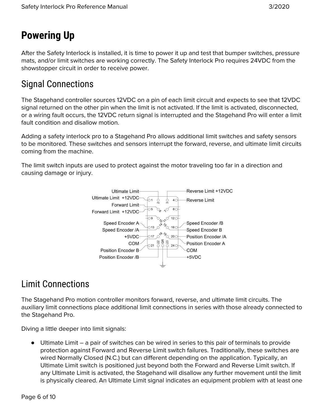# <span id="page-5-0"></span>**Powering Up**

After the Safety Interlock is installed, it is time to power it up and test that bumper switches, pressure mats, and/or limit switches are working correctly. The Safety Interlock Pro requires 24VDC from the showstopper circuit in order to receive power.

## <span id="page-5-1"></span>Signal Connections

The Stagehand controller sources 12VDC on a pin of each limit circuit and expects to see that 12VDC signal returned on the other pin when the limit is not activated. If the limit is activated, disconnected, or a wiring fault occurs, the 12VDC return signal is interrupted and the Stagehand Pro will enter a limit fault condition and disallow motion.

Adding a safety interlock pro to a Stagehand Pro allows additional limit switches and safety sensors to be monitored. These switches and sensors interrupt the forward, reverse, and ultimate limit circuits coming from the machine.

The limit switch inputs are used to protect against the motor traveling too far in a direction and causing damage or injury.



## <span id="page-5-2"></span>Limit Connections

The Stagehand Pro motion controller monitors forward, reverse, and ultimate limit circuits. The auxiliary limit connections place additional limit connections in series with those already connected to the Stagehand Pro.

Diving a little deeper into limit signals:

● Ultimate Limit – a pair of switches can be wired in series to this pair of terminals to provide protection against Forward and Reverse Limit switch failures. Traditionally, these switches are wired Normally Closed (N.C.) but can different depending on the application. Typically, an Ultimate Limit switch is positioned just beyond both the Forward and Reverse Limit switch. If any Ultimate Limit is activated, the Stagehand will disallow any further movement until the limit is physically cleared. An Ultimate Limit signal indicates an equipment problem with at least one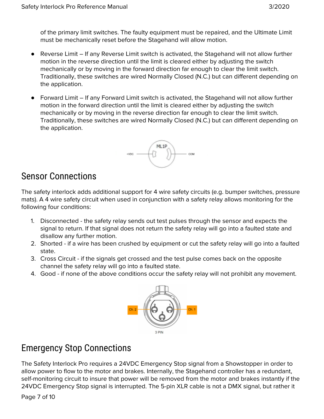of the primary limit switches. The faulty equipment must be repaired, and the Ultimate Limit must be mechanically reset before the Stagehand will allow motion.

- Reverse Limit If any Reverse Limit switch is activated, the Stagehand will not allow further motion in the reverse direction until the limit is cleared either by adjusting the switch mechanically or by moving in the forward direction far enough to clear the limit switch. Traditionally, these switches are wired Normally Closed (N.C.) but can different depending on the application.
- Forward Limit If any Forward Limit switch is activated, the Stagehand will not allow further motion in the forward direction until the limit is cleared either by adjusting the switch mechanically or by moving in the reverse direction far enough to clear the limit switch. Traditionally, these switches are wired Normally Closed (N.C.) but can different depending on the application.



#### <span id="page-6-0"></span>Sensor Connections

The safety interlock adds additional support for 4 wire safety circuits (e.g. bumper switches, pressure mats). A 4 wire safety circuit when used in conjunction with a safety relay allows monitoring for the following four conditions:

- 1. Disconnected the safety relay sends out test pulses through the sensor and expects the signal to return. If that signal does not return the safety relay will go into a faulted state and disallow any further motion.
- 2. Shorted if a wire has been crushed by equipment or cut the safety relay will go into a faulted state.
- 3. Cross Circuit if the signals get crossed and the test pulse comes back on the opposite channel the safety relay will go into a faulted state.
- 4. Good if none of the above conditions occur the safety relay will not prohibit any movement.



#### <span id="page-6-1"></span>Emergency Stop Connections

The Safety Interlock Pro requires a 24VDC Emergency Stop signal from a Showstopper in order to allow power to flow to the motor and brakes. Internally, the Stagehand controller has a redundant, self-monitoring circuit to insure that power will be removed from the motor and brakes instantly if the 24VDC Emergency Stop signal is interrupted. The 5-pin XLR cable is not a DMX signal, but rather it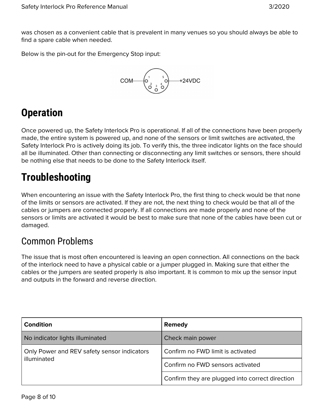was chosen as a convenient cable that is prevalent in many venues so you should always be able to find a spare cable when needed.

Below is the pin-out for the Emergency Stop input:



# <span id="page-7-0"></span>**Operation**

Once powered up, the Safety Interlock Pro is operational. If all of the connections have been properly made, the entire system is powered up, and none of the sensors or limit switches are activated, the Safety Interlock Pro is actively doing its job. To verify this, the three indicator lights on the face should all be illuminated. Other than connecting or disconnecting any limit switches or sensors, there should be nothing else that needs to be done to the Safety Interlock itself.

# <span id="page-7-1"></span>**Troubleshooting**

When encountering an issue with the Safety Interlock Pro, the first thing to check would be that none of the limits or sensors are activated. If they are not, the next thing to check would be that all of the cables or jumpers are connected properly. If all connections are made properly and none of the sensors or limits are activated it would be best to make sure that none of the cables have been cut or damaged.

#### <span id="page-7-2"></span>Common Problems

The issue that is most often encountered is leaving an open connection. All connections on the back of the interlock need to have a physical cable or a jumper plugged in. Making sure that either the cables or the jumpers are seated properly is also important. It is common to mix up the sensor input and outputs in the forward and reverse direction.

| <b>Condition</b>                                           | Remedy                                          |
|------------------------------------------------------------|-------------------------------------------------|
| No indicator lights illuminated                            | Check main power                                |
| Only Power and REV safety sensor indicators<br>illuminated | Confirm no FWD limit is activated               |
|                                                            | Confirm no FWD sensors activated                |
|                                                            | Confirm they are plugged into correct direction |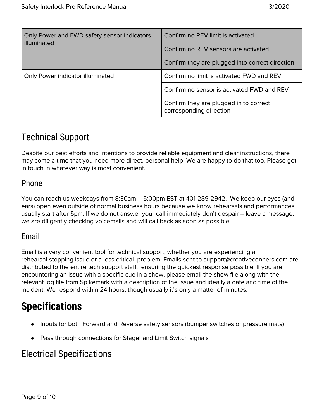| Only Power and FWD safety sensor indicators<br>illuminated | Confirm no REV limit is activated                                 |
|------------------------------------------------------------|-------------------------------------------------------------------|
|                                                            | Confirm no REV sensors are activated                              |
|                                                            | Confirm they are plugged into correct direction                   |
| Only Power indicator illuminated                           | Confirm no limit is activated FWD and REV                         |
|                                                            | Confirm no sensor is activated FWD and REV                        |
|                                                            | Confirm they are plugged in to correct<br>corresponding direction |

## <span id="page-8-0"></span>Technical Support

Despite our best efforts and intentions to provide reliable equipment and clear instructions, there may come a time that you need more direct, personal help. We are happy to do that too. Please get in touch in whatever way is most convenient.

#### <span id="page-8-1"></span>Phone

You can reach us weekdays from 8:30am – 5:00pm EST at 401-289-2942. We keep our eyes (and ears) open even outside of normal business hours because we know rehearsals and performances usually start after 5pm. If we do not answer your call immediately don't despair – leave a message, we are diligently checking voicemails and will call back as soon as possible.

#### <span id="page-8-2"></span>Email

Email is a very convenient tool for technical support, whether you are experiencing a rehearsal-stopping issue or a less critical problem. Emails sent to support@creativeconners.com are distributed to the entire tech support staff, ensuring the quickest response possible. If you are encountering an issue with a specific cue in a show, please email the show file along with the relevant log file from Spikemark with a description of the issue and ideally a date and time of the incident. We respond within 24 hours, though usually it's only a matter of minutes.

# <span id="page-8-3"></span>**Specifications**

- Inputs for both Forward and Reverse safety sensors (bumper switches or pressure mats)
- Pass through connections for Stagehand Limit Switch signals

#### <span id="page-8-4"></span>Electrical Specifications